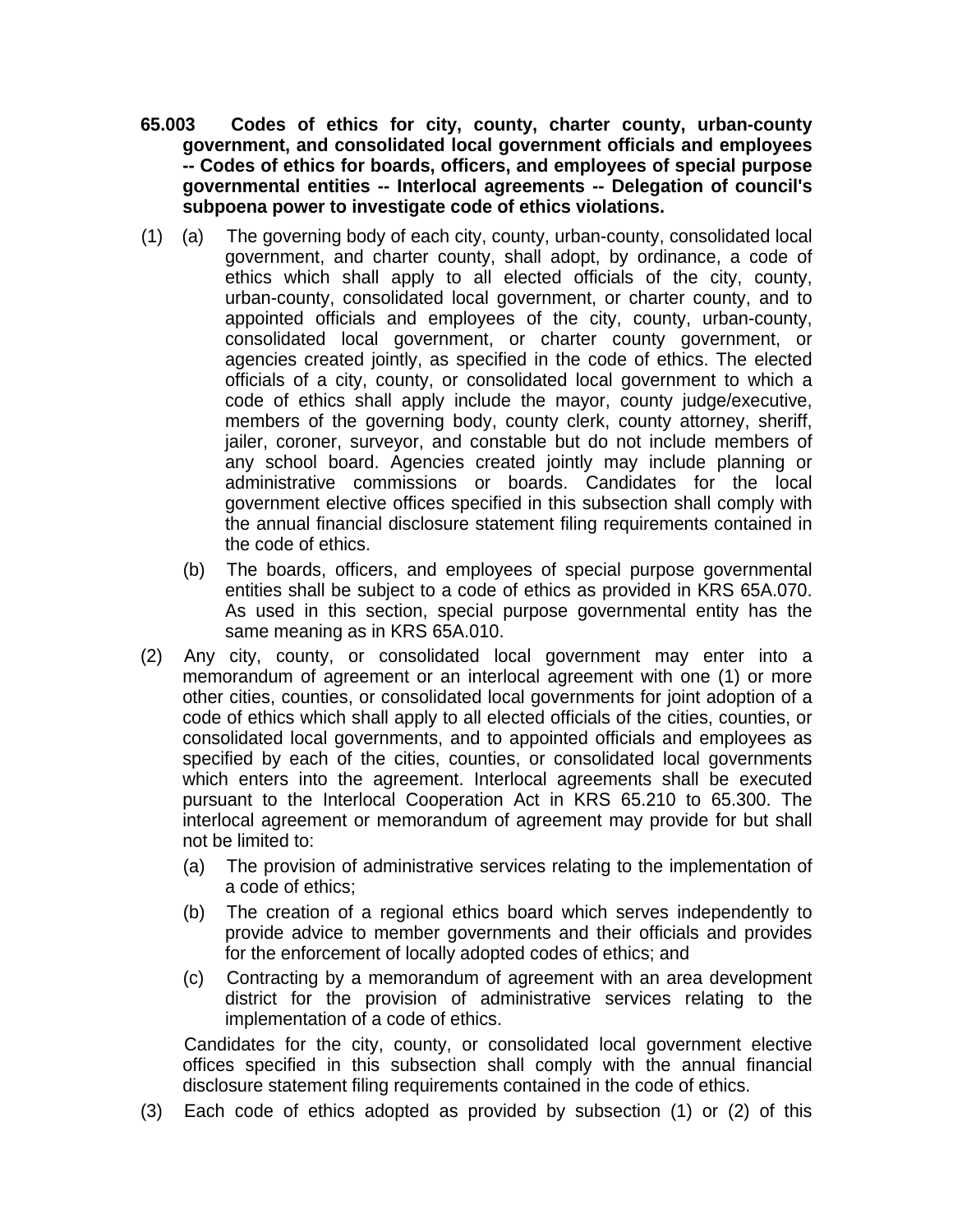- **65.003 Codes of ethics for city, county, charter county, urban-county government, and consolidated local government officials and employees -- Codes of ethics for boards, officers, and employees of special purpose governmental entities -- Interlocal agreements -- Delegation of council's subpoena power to investigate code of ethics violations.**
- (1) (a) The governing body of each city, county, urban-county, consolidated local government, and charter county, shall adopt, by ordinance, a code of ethics which shall apply to all elected officials of the city, county, urban-county, consolidated local government, or charter county, and to appointed officials and employees of the city, county, urban-county, consolidated local government, or charter county government, or agencies created jointly, as specified in the code of ethics. The elected officials of a city, county, or consolidated local government to which a code of ethics shall apply include the mayor, county judge/executive, members of the governing body, county clerk, county attorney, sheriff, jailer, coroner, surveyor, and constable but do not include members of any school board. Agencies created jointly may include planning or administrative commissions or boards. Candidates for the local government elective offices specified in this subsection shall comply with the annual financial disclosure statement filing requirements contained in the code of ethics.
	- (b) The boards, officers, and employees of special purpose governmental entities shall be subject to a code of ethics as provided in KRS 65A.070. As used in this section, special purpose governmental entity has the same meaning as in KRS 65A.010.
- (2) Any city, county, or consolidated local government may enter into a memorandum of agreement or an interlocal agreement with one (1) or more other cities, counties, or consolidated local governments for joint adoption of a code of ethics which shall apply to all elected officials of the cities, counties, or consolidated local governments, and to appointed officials and employees as specified by each of the cities, counties, or consolidated local governments which enters into the agreement. Interlocal agreements shall be executed pursuant to the Interlocal Cooperation Act in KRS 65.210 to 65.300. The interlocal agreement or memorandum of agreement may provide for but shall not be limited to:
	- (a) The provision of administrative services relating to the implementation of a code of ethics;
	- (b) The creation of a regional ethics board which serves independently to provide advice to member governments and their officials and provides for the enforcement of locally adopted codes of ethics; and
	- (c) Contracting by a memorandum of agreement with an area development district for the provision of administrative services relating to the implementation of a code of ethics.

Candidates for the city, county, or consolidated local government elective offices specified in this subsection shall comply with the annual financial disclosure statement filing requirements contained in the code of ethics.

(3) Each code of ethics adopted as provided by subsection (1) or (2) of this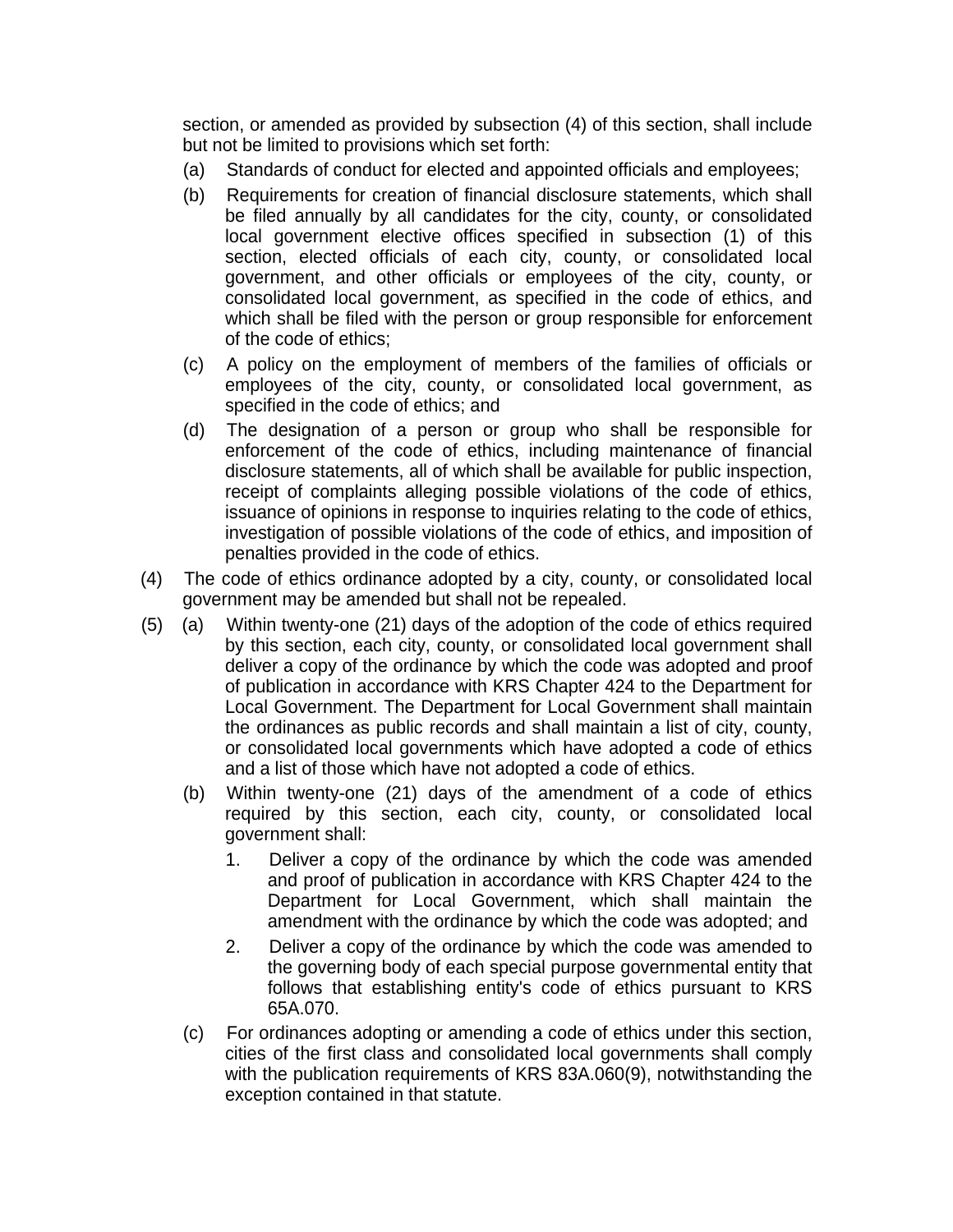section, or amended as provided by subsection (4) of this section, shall include but not be limited to provisions which set forth:

- (a) Standards of conduct for elected and appointed officials and employees;
- (b) Requirements for creation of financial disclosure statements, which shall be filed annually by all candidates for the city, county, or consolidated local government elective offices specified in subsection (1) of this section, elected officials of each city, county, or consolidated local government, and other officials or employees of the city, county, or consolidated local government, as specified in the code of ethics, and which shall be filed with the person or group responsible for enforcement of the code of ethics;
- (c) A policy on the employment of members of the families of officials or employees of the city, county, or consolidated local government, as specified in the code of ethics; and
- (d) The designation of a person or group who shall be responsible for enforcement of the code of ethics, including maintenance of financial disclosure statements, all of which shall be available for public inspection, receipt of complaints alleging possible violations of the code of ethics, issuance of opinions in response to inquiries relating to the code of ethics, investigation of possible violations of the code of ethics, and imposition of penalties provided in the code of ethics.
- (4) The code of ethics ordinance adopted by a city, county, or consolidated local government may be amended but shall not be repealed.
- (5) (a) Within twenty-one (21) days of the adoption of the code of ethics required by this section, each city, county, or consolidated local government shall deliver a copy of the ordinance by which the code was adopted and proof of publication in accordance with KRS Chapter 424 to the Department for Local Government. The Department for Local Government shall maintain the ordinances as public records and shall maintain a list of city, county, or consolidated local governments which have adopted a code of ethics and a list of those which have not adopted a code of ethics.
	- (b) Within twenty-one (21) days of the amendment of a code of ethics required by this section, each city, county, or consolidated local government shall:
		- 1. Deliver a copy of the ordinance by which the code was amended and proof of publication in accordance with KRS Chapter 424 to the Department for Local Government, which shall maintain the amendment with the ordinance by which the code was adopted; and
		- 2. Deliver a copy of the ordinance by which the code was amended to the governing body of each special purpose governmental entity that follows that establishing entity's code of ethics pursuant to KRS 65A.070.
	- (c) For ordinances adopting or amending a code of ethics under this section, cities of the first class and consolidated local governments shall comply with the publication requirements of KRS 83A.060(9), notwithstanding the exception contained in that statute.